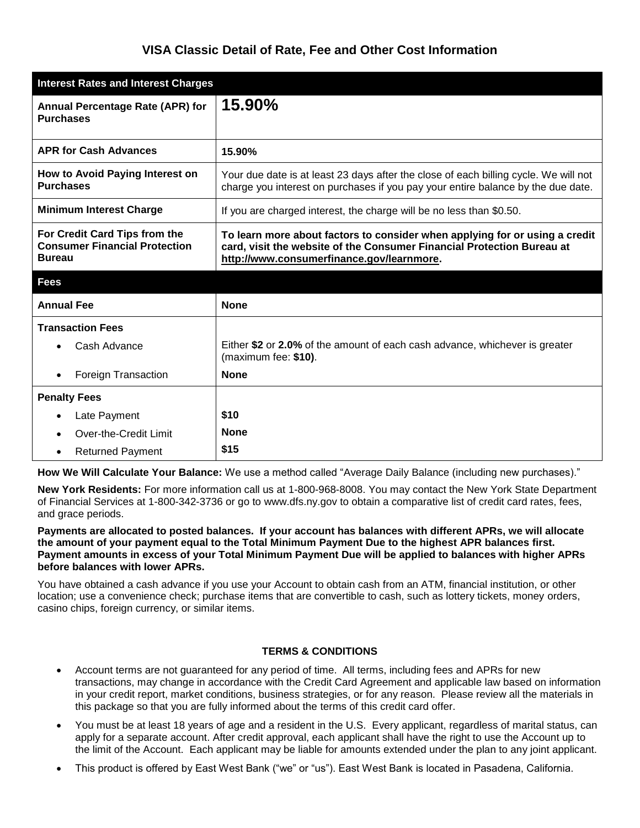## **VISA Classic Detail of Rate, Fee and Other Cost Information**

| <b>Interest Rates and Interest Charges</b>                                             |                                                                                                                                                                                                    |
|----------------------------------------------------------------------------------------|----------------------------------------------------------------------------------------------------------------------------------------------------------------------------------------------------|
| Annual Percentage Rate (APR) for<br><b>Purchases</b>                                   | 15.90%                                                                                                                                                                                             |
| <b>APR for Cash Advances</b>                                                           | 15.90%                                                                                                                                                                                             |
| How to Avoid Paying Interest on<br><b>Purchases</b>                                    | Your due date is at least 23 days after the close of each billing cycle. We will not<br>charge you interest on purchases if you pay your entire balance by the due date.                           |
| <b>Minimum Interest Charge</b>                                                         | If you are charged interest, the charge will be no less than \$0.50.                                                                                                                               |
| For Credit Card Tips from the<br><b>Consumer Financial Protection</b><br><b>Bureau</b> | To learn more about factors to consider when applying for or using a credit<br>card, visit the website of the Consumer Financial Protection Bureau at<br>http://www.consumerfinance.gov/learnmore. |
| <b>Fees</b>                                                                            |                                                                                                                                                                                                    |
| <b>Annual Fee</b>                                                                      | <b>None</b>                                                                                                                                                                                        |
| <b>Transaction Fees</b>                                                                |                                                                                                                                                                                                    |
| Cash Advance                                                                           | Either \$2 or 2.0% of the amount of each cash advance, whichever is greater<br>(maximum fee: \$10).                                                                                                |
| Foreign Transaction<br>$\bullet$                                                       | <b>None</b>                                                                                                                                                                                        |
| <b>Penalty Fees</b>                                                                    |                                                                                                                                                                                                    |
| Late Payment<br>$\bullet$                                                              | \$10                                                                                                                                                                                               |
| Over-the-Credit Limit<br>$\bullet$                                                     | <b>None</b>                                                                                                                                                                                        |
| <b>Returned Payment</b><br>$\bullet$                                                   | \$15                                                                                                                                                                                               |

**How We Will Calculate Your Balance:** We use a method called "Average Daily Balance (including new purchases)."

**New York Residents:** For more information call us at 1-800-968-8008. You may contact the New York State Department of Financial Services at 1-800-342-3736 or go to www.dfs.ny.gov to obtain a comparative list of credit card rates, fees, and grace periods.

## **Payments are allocated to posted balances. If your account has balances with different APRs, we will allocate the amount of your payment equal to the Total Minimum Payment Due to the highest APR balances first. Payment amounts in excess of your Total Minimum Payment Due will be applied to balances with higher APRs before balances with lower APRs.**

You have obtained a cash advance if you use your Account to obtain cash from an ATM, financial institution, or other location; use a convenience check; purchase items that are convertible to cash, such as lottery tickets, money orders, casino chips, foreign currency, or similar items.

## **TERMS & CONDITIONS**

- Account terms are not guaranteed for any period of time. All terms, including fees and APRs for new transactions, may change in accordance with the Credit Card Agreement and applicable law based on information in your credit report, market conditions, business strategies, or for any reason. Please review all the materials in this package so that you are fully informed about the terms of this credit card offer.
- You must be at least 18 years of age and a resident in the U.S. Every applicant, regardless of marital status, can apply for a separate account. After credit approval, each applicant shall have the right to use the Account up to the limit of the Account. Each applicant may be liable for amounts extended under the plan to any joint applicant.
- This product is offered by East West Bank ("we" or "us"). East West Bank is located in Pasadena, California.